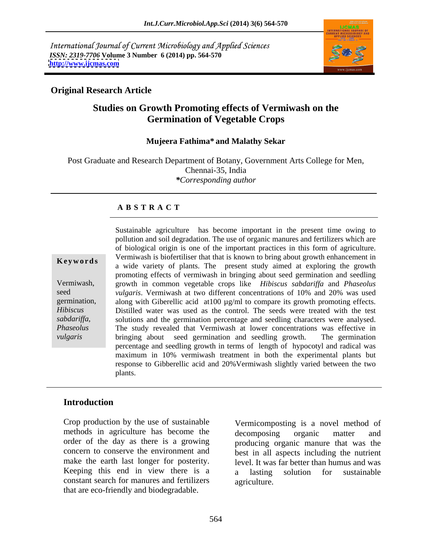International Journal of Current Microbiology and Applied Sciences *ISSN: 2319-7706* **Volume 3 Number 6 (2014) pp. 564-570 <http://www.ijcmas.com>**



## **Original Research Article**

# **Studies on Growth Promoting effects of Vermiwash on the Germination of Vegetable Crops**

### **Mujeera Fathima\* and Malathy Sekar**

Post Graduate and Research Department of Botany, Government Arts College for Men, Chennai-35, India *\*Corresponding author*

### **A B S T R A C T**

*sabdariffa*,

**Keywords** a wide variety of plants. The present study aimed at exploring the growth Vermiwash, growth in common vegetable crops like *Hibiscus sabdariffa* and *Phaseolus* seed *vulgaris*. Vermiwash at two different concentrations of 10% and 20% was used germination, along with Giberellic acid at 100  $\mu$ g/ml to compare its growth promoting effects. *Hibiscus*  Distilled water was used as the control. The seeds were treated with the test *Phaseolus*  The study revealed that Vermiwash at lower concentrations was effective in Sustainable agriculture has become important in the present time owing to<br>pollution and soil degradation. The use of organic manures and fertilizers which are<br>of biological origin is one of the important practices in this pollution and soil degradation. The use of organic manures and fertilizers which are of biological origin is one of the important practices in this form of agriculture. Vermiwash is biofertiliser that that is known to bring about growth enhancement in promoting effects of vermiwash in bringing about seed germination and seedling solutions and the germination percentage and seedling characters were analysed. bringing about seed germination and seedling growth. The germination percentage and seedling growth in terms of length of hypocotyl and radical was maximum in 10% vermiwash treatment in both the experimental plants but response to Gibberellic acid and 20%Vermiwash slightly varied between the two plants.

## **Introduction**

Crop production by the use of sustainable methods in agriculture has become the decomposing organic matter and make the earth last longer for posterity. constant search for manures and fertilizers that are eco-friendly and biodegradable.

order of the day as there is a growing producing organic manure that was the concern to conserve the environment and best in all aspects including the nutrient Keeping this end in view there is a <br> a lasting solution for sustainable Vermicomposting is a novel method of decomposing organic matter and level. It was far better than humus and was a lasting solution for sustainable agriculture.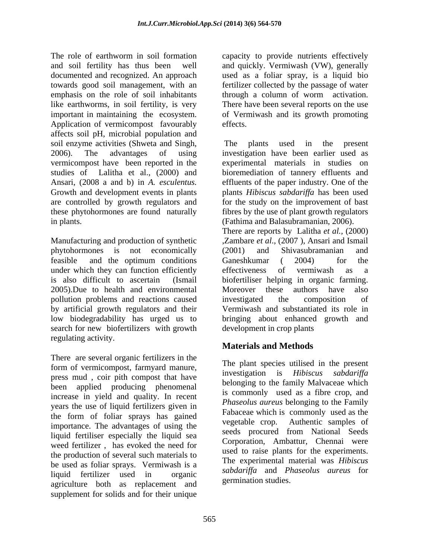The role of earthworm in soil formation capacity to provide nutrients effectively and soil fertility has thus been well and quickly. Vermiwash (VW), generally documented and recognized. An approach used as a foliar spray, is a liquid bio towards good soil management, with an fertilizer collected by the passage of water emphasis on the role of soil inhabitants through a column of worm activation. like earthworms, in soil fertility, is very There have been several reports on the use important in maintaining the ecosystem. of Vermiwash and its growth promoting Application of vermicompost favourably effects. affects soil pH, microbial population and soil enzyme activities (Shweta and Singh, The plants used in the present 2006). The advantages of using investigation have been earlier used as vermicompost have been reported in the studies of Lalitha et al., (2000) and bioremediation of tannery effluents and Ansari, (2008 a and b) in *A. esculentus.* effluents of the paper industry. One of the Growth and development events in plants  $\mu$  *Blants Hibiscus sabdariffa* has been used are controlled by growth regulators and for the study on the improvement of bast these phytohormones are found naturally fibres by the use of plant growth regulators in plants. (Fathima and Balasubramanian, 2006).

phytohormones is not economically under which they can function efficiently effectiveness of vermiwash as a pollution problems and reactions caused investigated the composition of by artificial growth regulators and their search for new biofertilizers with growth regulating activity.

There are several organic fertilizers in the been applied producing phenomenal increase in yield and quality. In recent years the use of liquid fertilizers given in the form of foliar sprays has gained<br>importance. The educations of using the vegetable crop. Authentic samples of importance. The advantages of using the liquid fertiliser especially the liquid sea weed fertilizer , has evoked the need for the production of several such materials to be used as foliar sprays. Vermiwash is a agriculture both as replacement and supplement for solids and for their unique

through a column of worm activation. effects.

The plants used in the present experimental materials in studies on effluents of the paper industry. One of the plants *Hibiscus sabdariffa* has been used

Manufacturing and production of synthetic [2007 ], Ansari and Ismail [31] Manufacturing and production of synthetic feasible and the optimum conditions Ganeshkumar (2004) for the is also difficult to ascertain (Ismail biofertiliser helping in organic farming. 2005).Due to health and environmental Moreover these authors have also low biodegradability has urged us to bringing about enhanced growth and There are reports by Lalitha *et al.,* (2000) (2001) and Shivasubramanian and Ganeshkumar ( 2004) for the effectiveness of vermiwash as a investigated the composition of Vermiwash and substantiated its role in development in crop plants

# **Materials and Methods**

form of vermicompost, farmyard manure,<br>press mud , coir pith compost that have  $\frac{1}{1}$  investigation is *Hibiscus sabdariffa* liquid fertilizer used in organic sabally and *ridusedus durellis* for The plant species utilised in the present investigation is *Hibiscus sabdariffa* belonging to the family Malvaceae which is commonly used as a fibre crop, and *Phaseolus aureus* belonging to the Family Fabaceae which is commonly used as the vegetable crop. Authentic samples of seeds procured from National Seeds Corporation, Ambattur, Chennai were used to raise plants for the experiments. The experimental material was *Hibiscus sabdariffa* and *Phaseolus aureus* for germination studies.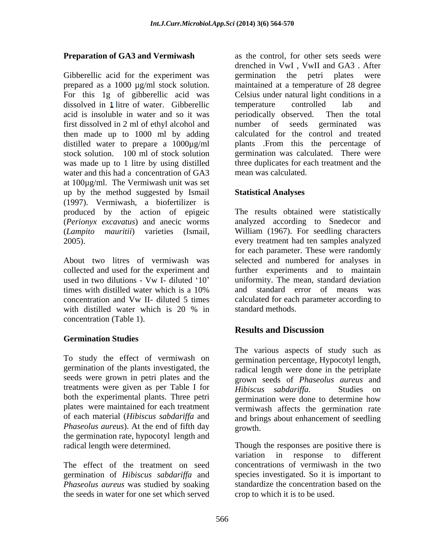Gibberellic acid for the experiment was experiment of the petri plates were dissolved in 1 litre of water. Gibberellic temperature controlled lab and acid is insoluble in water and so it was first dissolved in 2 ml of ethyl alcohol and number of seeds germinated was then made up to 1000 ml by adding distilled water to prepare a 1000µg/ml water and this had a concentration of GA3 at 100µg/ml. The Vermiwash unit was set up by the method suggested by Ismail Statistical Analyses (1997). Vermiwash, a biofertilizer is produced by the action of epigeic (*Perionyx excavatus*) and anecic worms analyzed according to Snedecor and (*Lampito mauritii*) varieties (Ismail, William (1967). For seedling characters

About two litres of vermiwash was selected and numbered for analyses in collected and used for the experiment and used in two dilutions - Vw I- diluted '10' uniformity. The mean, standard deviation times with distilled water which is a 10% concentration and Vw II- diluted 5 times calculated for each parameter according to with distilled water which is 20 % in standard methods. concentration (Table 1).

### **Germination Studies**

To study the effect of vermiwash on seeds were grown in petri plates and the treatments were given as per Table I for *Hibiscus sabdariffa*. Studies on both the experimental plants. Three petri experimental experimental plants. Three petri plates were maintained for each treatment of each material (*Hibiscus sabdarif a* and *Phaseolus aureus*). At the end of fifth day the germination rate, hypocotyl length and

The effect of the treatment on seed germination of *Hibiscus* sabdariffa and *Phaseolus aureus* was studied by soaking the seeds in water for one set which served

**Preparation of GA3 and Vermiwash** as the control, for other sets seeds were prepared as a 1000 µg/ml stock solution. In maintained at a temperature of 28 degree<br>For this 1g of gibberellic acid was Celsius under natural light conditions in a stock solution. 100 ml of stock solution germination was calculated. There were was made up to 1 litre by using distilled three duplicates for each treatment and the drenched in VwI , VwII and GA3 . After germination the petri plates were maintained at a temperature of 28 degree Celsius under natural light conditions in a temperature controlled lab and periodically observed. Then the total number of seeds germinated was calculated for the control and treated plants .From this the percentage of mean was calculated.

## **Statistical Analyses**

2005). every treatment had ten samples analyzed The results obtained were statistically for each parameter. These were randomly further experiments and to maintain and standard error of means was standard methods.<br>**Results and Discussion** 

germination of the plants investigated, the radical length were done in the petriplate The various aspects of study such as germination percentage, Hypocotyl length, grown seeds of *Phaseolus aureus* and *Hibiscus sabdariffa.* Studies on germination were done to determine how vermiwash affects the germination rate and brings about enhancement of seedling growth.

radical length were determined. Though the responses are positive there is variation in response to different concentrations of vermiwash in the two species investigated. So it is important to standardize the concentration based on the crop to which it is to be used.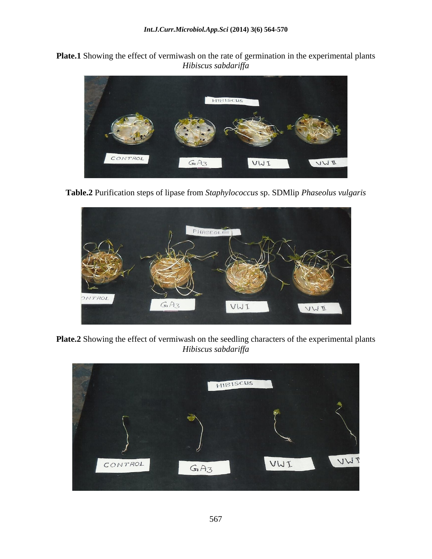**Plate.1** Showing the effect of vermiwash on the rate of germination in the experimental plants *Hibiscus sabdariffa* 



**Table.2** Purification steps of lipase from *Staphylococcus* sp. SDMlip *Phaseolus vulgaris*



**Plate.2** Showing the effect of vermiwash on the seedling characters of the experimental plants *Hibiscus sabdariffa* 

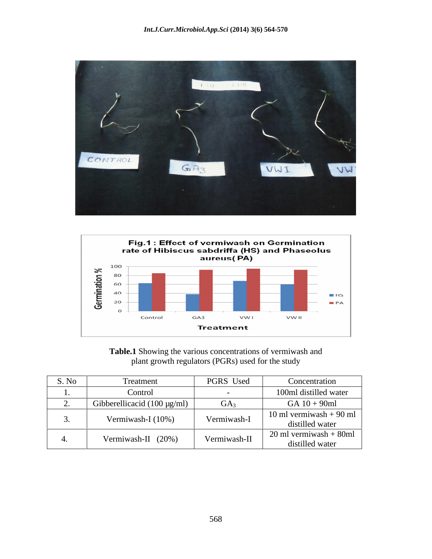



**Table.1** Showing the various concentrations of vermiwash and plant growth regulators (PGRs) used for the study

| S. No | Treatment                        | PGRS Used       | Concentration                               |
|-------|----------------------------------|-----------------|---------------------------------------------|
|       | Control                          |                 | 100ml distilled water                       |
| . _ . | Gibberellicacid (100 $\mu$ g/ml) | GA <sub>3</sub> | $GA 10 + 90ml$                              |
|       | Vermiwash-I (10%)                | Vermiwash-I     | 10 ml vermiwash $+90$ ml<br>distilled water |
|       | Vermiwash-II (20%)               | Vermiwash-II    | $20$ ml vermiwash + 80ml<br>distilled water |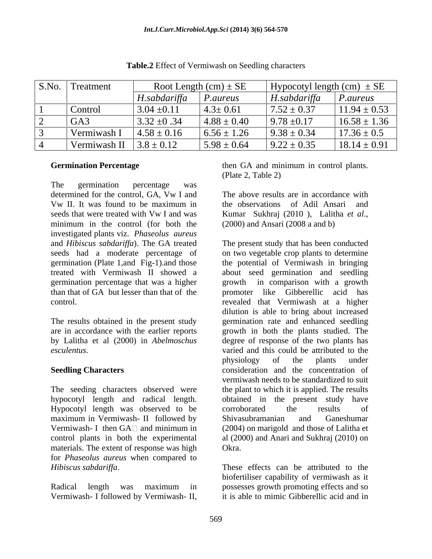| S.No. | Treatment    | Root Length $(cm) \pm SE$ |                 | Hypocotyl length (cm) $\pm$ SE |                  |
|-------|--------------|---------------------------|-----------------|--------------------------------|------------------|
|       |              | H.sabdariffa              | P.aureus        | H.sabdariffa                   | <i>P.aureus</i>  |
|       | Control      | $3.04 \pm 0.11$           | $4.3 \pm 0.61$  | $7.52 \pm 0.37$                | $11.94 \pm 0.53$ |
|       | $G A$ :      | $3.32 \pm 0.34$           | $4.88 \pm 0.40$ | $9.78 \pm 0.17$                | $16.58 \pm 1.36$ |
|       | Vermiwash    | $4.58 \pm 0.16$           | $6.56 \pm 1.26$ | $9.38 \pm 0.34$                | $17.36 \pm 0.5$  |
|       | Vermiwash II | $3.8 \pm 0.12$            | $5.98 \pm 0.64$ | $9.22 \pm 0.35$                | $18.14 \pm 0.91$ |

**Table.2** Effect of Vermiwash on Seedling characters

The germination percentage was determined for the control, GA, Vw I and Vw II. It was found to be maximum in seeds that were treated with Vw I and was Kumar Sukhraj (2010). Lalitha et al., minimum in the control (for both the (2000) and Ansari (2008 a and b) investigated plants viz. *Phaseolus aureus*

The results obtained in the present study

hypocotyl length and radical length. Hypocotyl length was observed to be corroborated the results of maximum in Vermiwash- II followed by Shivasubramanian and Ganeshumar materials. The extent of response was high Okra. for *Phaseolus aureus* when compared to *Hibiscus sabdariffa*. These effects can be attributed to the

Vermiwash- I followed by Vermiwash- II,

**Germination Percentage Servert Exercise 2.1 Servert Exercise 2.1 Servert Exercise 2.1 Servert Exercise 2.1 Servert Exercise 2.1 Servert Exercise 3.1 Servert Exercise 3.1 Servert Exercise 3.1 Servert Exercise 3.1 Servert** then GA and minimum in control plants. (Plate 2, Table 2)

> The above results are in accordance with the observations of Adil Ansari and Kumar Sukhraj (2010 ), Lalitha *et al*., (2000) and Ansari (2008 a and b)

and *Hibiscus sabdariffa*). The GA treated The present study that has been conducted seeds had a moderate percentage of on two vegetable crop plants to determine germination (Plate 1,and Fig-1).and those the potential of Vermiwash in bringing treated with Vermiwash II showed a about seed germination and seedling germination percentage that was a higher growth in comparison with a growth than that of GA but lesser than that of the promoter like Gibberellic acid has control. The control control control control. are in accordance with the earlier reports growth in both the plants studied. The by Lalitha et al (2000) in *Abelmoschus* degree of response of the two plants has *esculentus*. varied and this could be attributed to the **Seedling Characters Characters Consideration** and the concentration of The seeding characters observed were the plant to which it is applied. The results Vermiwash- I then  $GA \Box$  and minimum in (2004) on marigold and those of Lalitha et control plants in both the experimental al (2000) and Anari and Sukhraj(2010) on dilution is able to bring about increased germination rate and enhanced seedling physiology of the plants under vermiwash needs to be standardized to suit obtained in the present study have corroborated the results of Shivasubramanian and Ganeshumar (2004) on marigold and those of Lalitha et Okra.

Radical length was maximum in possesses growth promoting effects and so biofertiliser capability of vermiwash as it it is able to mimic Gibberellic acid and in